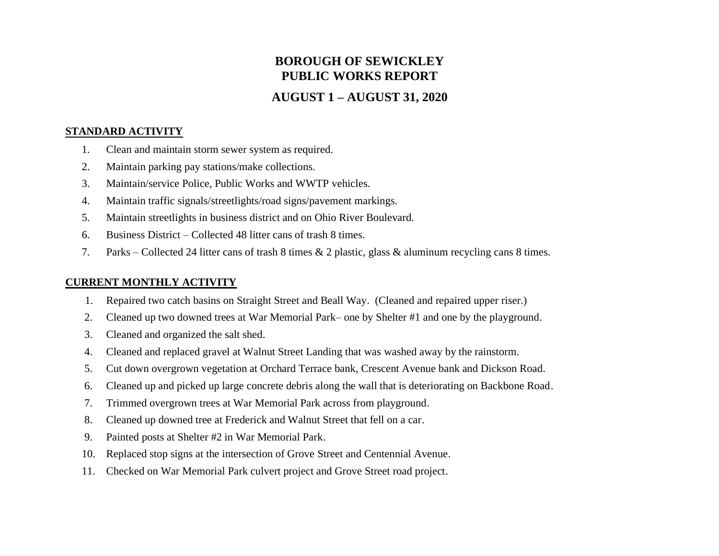# **BOROUGH OF SEWICKLEY PUBLIC WORKS REPORT**

# **AUGUST 1 – AUGUST 31, 2020**

## **STANDARD ACTIVITY**

- 1. Clean and maintain storm sewer system as required.
- 2. Maintain parking pay stations/make collections.
- 3. Maintain/service Police, Public Works and WWTP vehicles.
- 4. Maintain traffic signals/streetlights/road signs/pavement markings.
- 5. Maintain streetlights in business district and on Ohio River Boulevard.
- 6. Business District Collected 48 litter cans of trash 8 times.
- 7. Parks Collected 24 litter cans of trash 8 times & 2 plastic, glass & aluminum recycling cans 8 times.

# **CURRENT MONTHLY ACTIVITY**

- 1. Repaired two catch basins on Straight Street and Beall Way. (Cleaned and repaired upper riser.)
- 2. Cleaned up two downed trees at War Memorial Park– one by Shelter #1 and one by the playground.
- 3. Cleaned and organized the salt shed.
- 4. Cleaned and replaced gravel at Walnut Street Landing that was washed away by the rainstorm.
- 5. Cut down overgrown vegetation at Orchard Terrace bank, Crescent Avenue bank and Dickson Road.
- 6. Cleaned up and picked up large concrete debris along the wall that is deteriorating on Backbone Road.
- 7. Trimmed overgrown trees at War Memorial Park across from playground.
- 8. Cleaned up downed tree at Frederick and Walnut Street that fell on a car.
- 9. Painted posts at Shelter #2 in War Memorial Park.
- 10. Replaced stop signs at the intersection of Grove Street and Centennial Avenue.
- 11. Checked on War Memorial Park culvert project and Grove Street road project.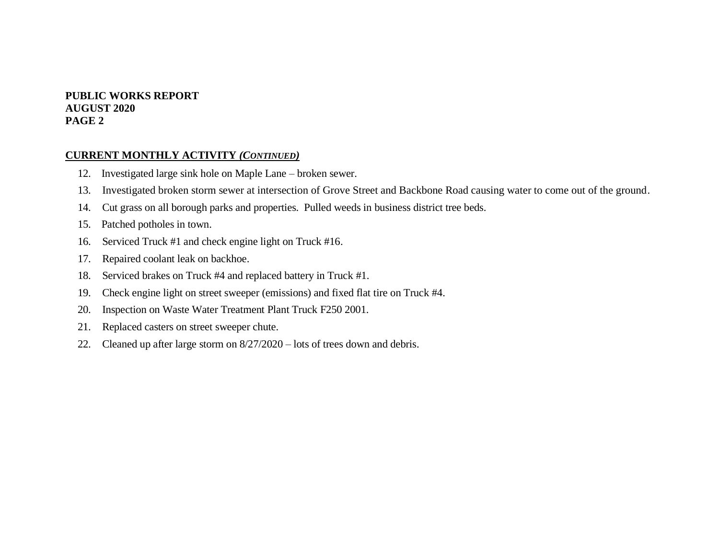#### **PUBLIC WORKS REPORT AUGUST 2020 PAGE 2**

#### **CURRENT MONTHLY ACTIVITY** *(CONTINUED)*

- 12. Investigated large sink hole on Maple Lane broken sewer.
- 13. Investigated broken storm sewer at intersection of Grove Street and Backbone Road causing water to come out of the ground.
- 14. Cut grass on all borough parks and properties. Pulled weeds in business district tree beds.
- 15. Patched potholes in town.
- 16. Serviced Truck #1 and check engine light on Truck #16.
- 17. Repaired coolant leak on backhoe.
- 18. Serviced brakes on Truck #4 and replaced battery in Truck #1.
- 19. Check engine light on street sweeper (emissions) and fixed flat tire on Truck #4.
- 20. Inspection on Waste Water Treatment Plant Truck F250 2001.
- 21. Replaced casters on street sweeper chute.
- 22. Cleaned up after large storm on 8/27/2020 lots of trees down and debris.